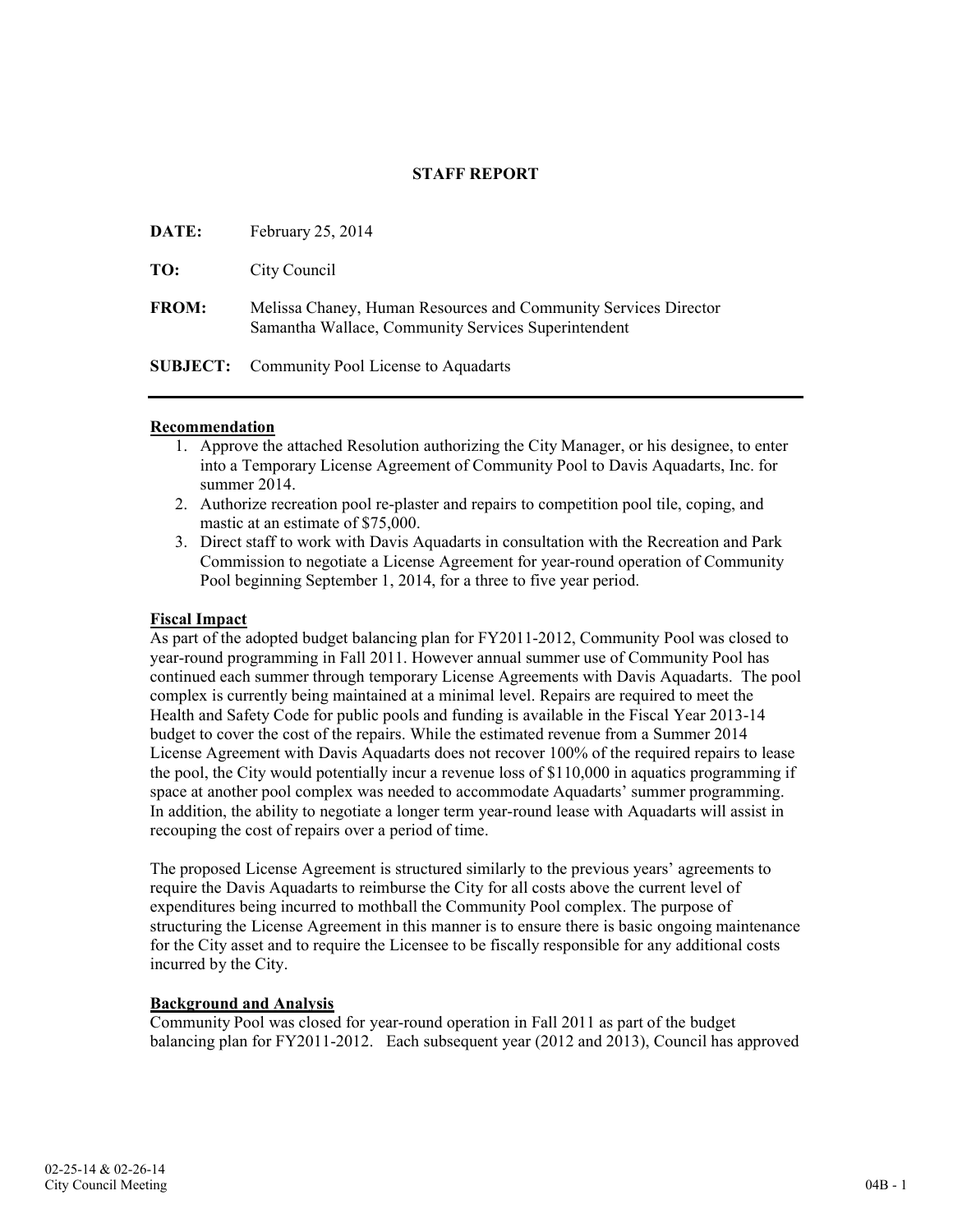# STAFF REPORT

| DATE:        | February $25, 2014$                                                                                                    |
|--------------|------------------------------------------------------------------------------------------------------------------------|
| TO:          | City Council                                                                                                           |
| <b>FROM:</b> | Melissa Chaney, Human Resources and Community Services Director<br>Samantha Wallace, Community Services Superintendent |
|              | <b>SUBJECT:</b> Community Pool License to Aquadarts                                                                    |

### Recommendation

- 1. Approve the attached Resolution authorizing the City Manager, or his designee, to enter into a Temporary License Agreement of Community Pool to Davis Aquadarts, Inc. for summer 2014.
- 2. Authorize recreation pool re-plaster and repairs to competition pool tile, coping, and mastic at an estimate of \$75,000.
- 3. Direct staff to work with Davis Aquadarts in consultation with the Recreation and Park Commission to negotiate a License Agreement for year-round operation of Community Pool beginning September 1, 2014, for a three to five year period.

## Fiscal Impact

As part of the adopted budget balancing plan for FY2011-2012, Community Pool was closed to year-round programming in Fall 2011. However annual summer use of Community Pool has continued each summer through temporary License Agreements with Davis Aquadarts. The pool complex is currently being maintained at a minimal level. Repairs are required to meet the Health and Safety Code for public pools and funding is available in the Fiscal Year 2013-14 budget to cover the cost of the repairs. While the estimated revenue from a Summer 2014 License Agreement with Davis Aquadarts does not recover 100% of the required repairs to lease the pool, the City would potentially incur a revenue loss of \$110,000 in aquatics programming if space at another pool complex was needed to accommodate Aquadarts' summer programming. In addition, the ability to negotiate a longer term year-round lease with Aquadarts will assist in recouping the cost of repairs over a period of time.

The proposed License Agreement is structured similarly to the previous years' agreements to require the Davis Aquadarts to reimburse the City for all costs above the current level of expenditures being incurred to mothball the Community Pool complex. The purpose of structuring the License Agreement in this manner is to ensure there is basic ongoing maintenance for the City asset and to require the Licensee to be fiscally responsible for any additional costs incurred by the City.

### Background and Analysis

Community Pool was closed for year-round operation in Fall 2011 as part of the budget balancing plan for FY2011-2012. Each subsequent year (2012 and 2013), Council has approved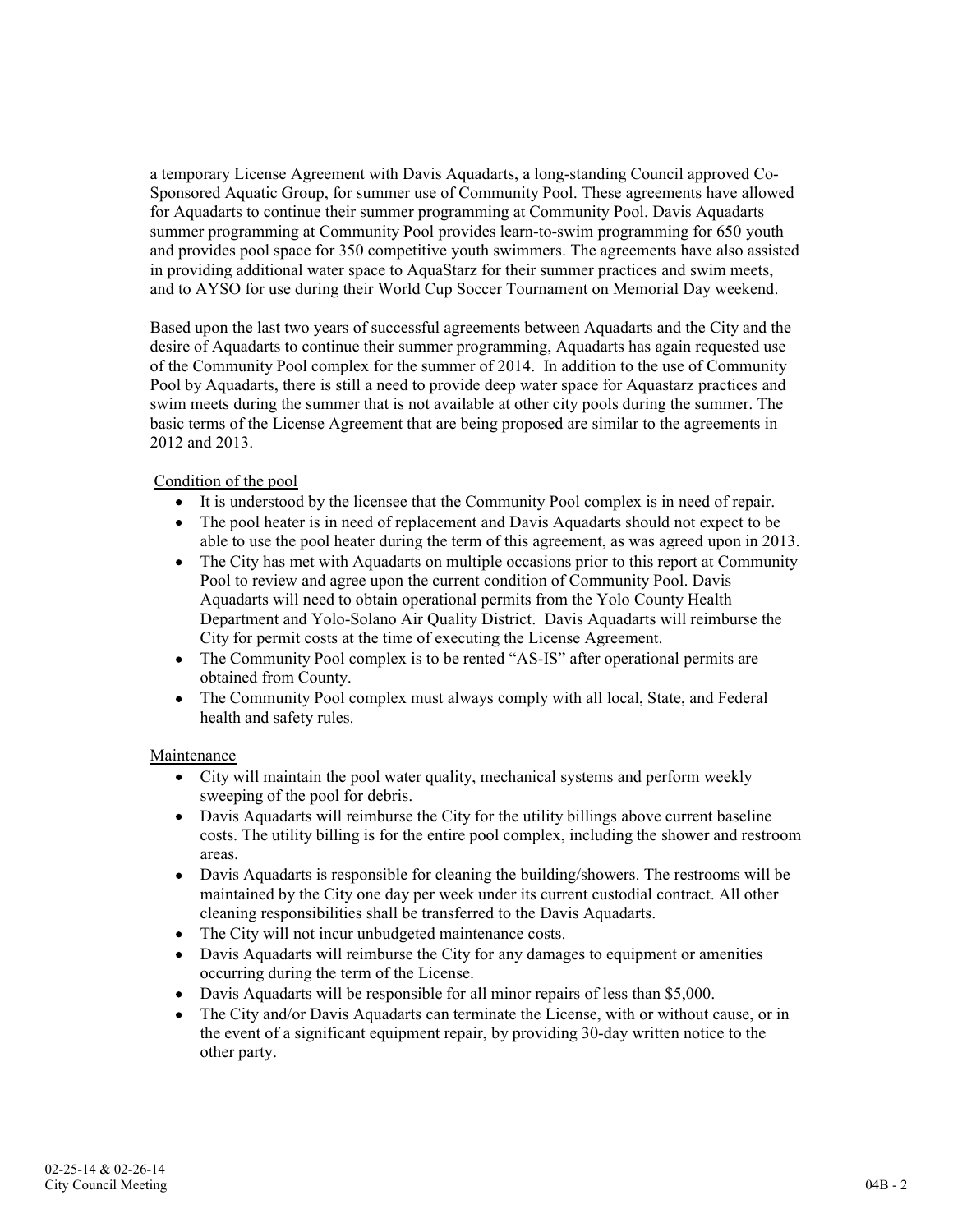a temporary License Agreement with Davis Aquadarts, a long-standing Council approved Co-Sponsored Aquatic Group, for summer use of Community Pool. These agreements have allowed for Aquadarts to continue their summer programming at Community Pool. Davis Aquadarts summer programming at Community Pool provides learn-to-swim programming for 650 youth and provides pool space for 350 competitive youth swimmers. The agreements have also assisted in providing additional water space to AquaStarz for their summer practices and swim meets, and to AYSO for use during their World Cup Soccer Tournament on Memorial Day weekend.

Based upon the last two years of successful agreements between Aquadarts and the City and the desire of Aquadarts to continue their summer programming, Aquadarts has again requested use of the Community Pool complex for the summer of 2014. In addition to the use of Community Pool by Aquadarts, there is still a need to provide deep water space for Aquastarz practices and swim meets during the summer that is not available at other city pools during the summer. The basic terms of the License Agreement that are being proposed are similar to the agreements in 2012 and 2013.

# Condition of the pool

- It is understood by the licensee that the Community Pool complex is in need of repair.
- The pool heater is in need of replacement and Davis Aquadarts should not expect to be  $\bullet$ able to use the pool heater during the term of this agreement, as was agreed upon in 2013.
- The City has met with Aquadarts on multiple occasions prior to this report at Community  $\bullet$ Pool to review and agree upon the current condition of Community Pool. Davis Aquadarts will need to obtain operational permits from the Yolo County Health Department and Yolo-Solano Air Quality District. Davis Aquadarts will reimburse the City for permit costs at the time of executing the License Agreement.
- The Community Pool complex is to be rented "AS-IS" after operational permits are obtained from County.
- The Community Pool complex must always comply with all local, State, and Federal health and safety rules.

# Maintenance

- City will maintain the pool water quality, mechanical systems and perform weekly sweeping of the pool for debris.
- Davis Aquadarts will reimburse the City for the utility billings above current baseline costs. The utility billing is for the entire pool complex, including the shower and restroom areas.
- Davis Aquadarts is responsible for cleaning the building/showers. The restrooms will be  $\bullet$ maintained by the City one day per week under its current custodial contract. All other cleaning responsibilities shall be transferred to the Davis Aquadarts.
- The City will not incur unbudgeted maintenance costs.
- Davis Aquadarts will reimburse the City for any damages to equipment or amenities  $\bullet$ occurring during the term of the License.
- Davis Aquadarts will be responsible for all minor repairs of less than \$5,000.
- The City and/or Davis Aquadarts can terminate the License, with or without cause, or in the event of a significant equipment repair, by providing 30-day written notice to the other party.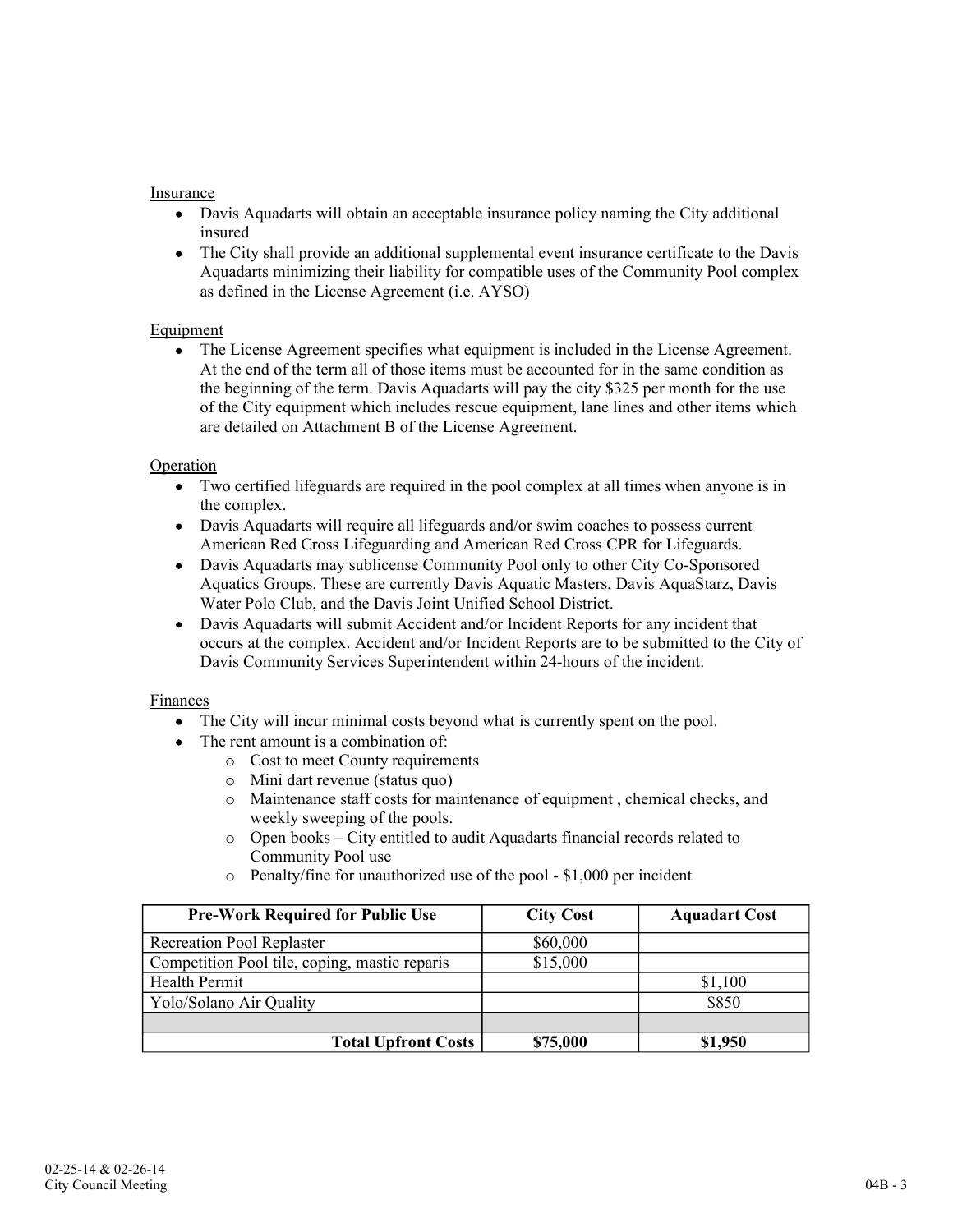# Insurance

- Davis Aquadarts will obtain an acceptable insurance policy naming the City additional insured
- The City shall provide an additional supplemental event insurance certificate to the Davis Aquadarts minimizing their liability for compatible uses of the Community Pool complex as defined in the License Agreement (i.e. AYSO)

## Equipment

The License Agreement specifies what equipment is included in the License Agreement. At the end of the term all of those items must be accounted for in the same condition as the beginning of the term. Davis Aquadarts will pay the city \$325 per month for the use of the City equipment which includes rescue equipment, lane lines and other items which are detailed on Attachment B of the License Agreement.

### Operation

- $\bullet$ Two certified lifeguards are required in the pool complex at all times when anyone is in the complex.
- Davis Aquadarts will require all lifeguards and/or swim coaches to possess current American Red Cross Lifeguarding and American Red Cross CPR for Lifeguards.
- $\bullet$ Davis Aquadarts may sublicense Community Pool only to other City Co-Sponsored Aquatics Groups. These are currently Davis Aquatic Masters, Davis AquaStarz, Davis Water Polo Club, and the Davis Joint Unified School District.
- Davis Aquadarts will submit Accident and/or Incident Reports for any incident that occurs at the complex. Accident and/or Incident Reports are to be submitted to the City of Davis Community Services Superintendent within 24-hours of the incident.

### Finances

- The City will incur minimal costs beyond what is currently spent on the pool.
- The rent amount is a combination of:
	- o Cost to meet County requirements
	- o Mini dart revenue (status quo)
	- o Maintenance staff costs for maintenance of equipment , chemical checks, and weekly sweeping of the pools.
	- o Open books City entitled to audit Aquadarts financial records related to Community Pool use
	- o Penalty/fine for unauthorized use of the pool \$1,000 per incident

| <b>Pre-Work Required for Public Use</b>       | <b>City Cost</b> | <b>Aquadart Cost</b> |
|-----------------------------------------------|------------------|----------------------|
| <b>Recreation Pool Replaster</b>              | \$60,000         |                      |
| Competition Pool tile, coping, mastic reparis | \$15,000         |                      |
| Health Permit                                 |                  | \$1,100              |
| Yolo/Solano Air Quality                       |                  | \$850                |
|                                               |                  |                      |
| <b>Total Upfront Costs</b>                    | \$75,000         | \$1,950              |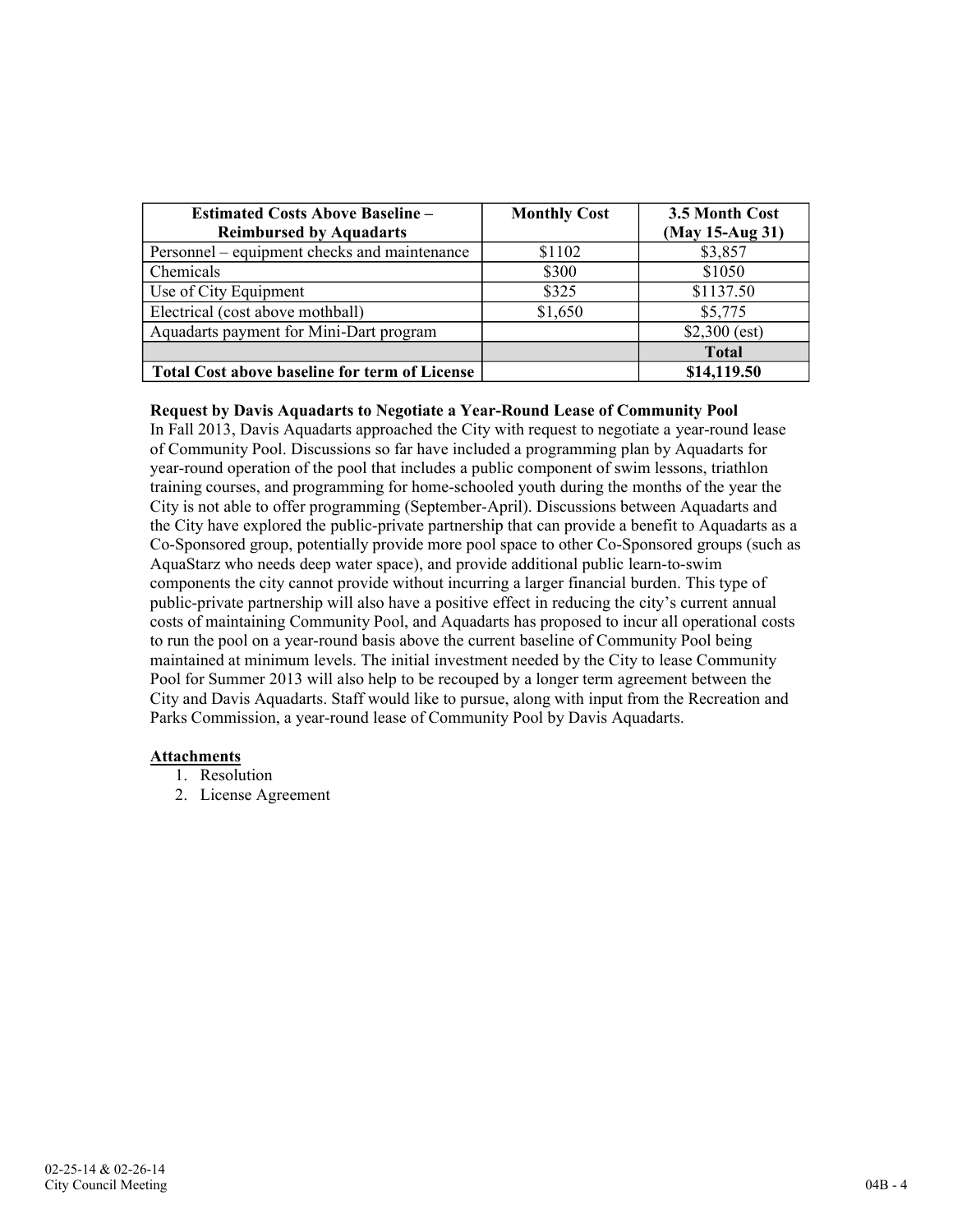| <b>Estimated Costs Above Baseline -</b><br><b>Reimbursed by Aquadarts</b> | <b>Monthly Cost</b> | 3.5 Month Cost<br>(May 15-Aug 31) |
|---------------------------------------------------------------------------|---------------------|-----------------------------------|
| Personnel – equipment checks and maintenance                              | \$1102              | \$3,857                           |
| Chemicals                                                                 | \$300               | \$1050                            |
| Use of City Equipment                                                     | \$325               | \$1137.50                         |
| Electrical (cost above mothball)                                          | \$1,650             | \$5,775                           |
| Aquadarts payment for Mini-Dart program                                   |                     | $$2,300$ (est)                    |
|                                                                           |                     | <b>Total</b>                      |
| <b>Total Cost above baseline for term of License</b>                      |                     | \$14,119.50                       |

### Request by Davis Aquadarts to Negotiate a Year-Round Lease of Community Pool

In Fall 2013, Davis Aquadarts approached the City with request to negotiate a year-round lease of Community Pool. Discussions so far have included a programming plan by Aquadarts for year-round operation of the pool that includes a public component of swim lessons, triathlon training courses, and programming for home-schooled youth during the months of the year the City is not able to offer programming (September-April). Discussions between Aquadarts and the City have explored the public-private partnership that can provide a benefit to Aquadarts as a Co-Sponsored group, potentially provide more pool space to other Co-Sponsored groups (such as AquaStarz who needs deep water space), and provide additional public learn-to-swim components the city cannot provide without incurring a larger financial burden. This type of public-private partnership will also have a positive effect in reducing the city's current annual costs of maintaining Community Pool, and Aquadarts has proposed to incur all operational costs to run the pool on a year-round basis above the current baseline of Community Pool being maintained at minimum levels. The initial investment needed by the City to lease Community Pool for Summer 2013 will also help to be recouped by a longer term agreement between the City and Davis Aquadarts. Staff would like to pursue, along with input from the Recreation and Parks Commission, a year-round lease of Community Pool by Davis Aquadarts.

### Attachments

- 1. Resolution
- 2. License Agreement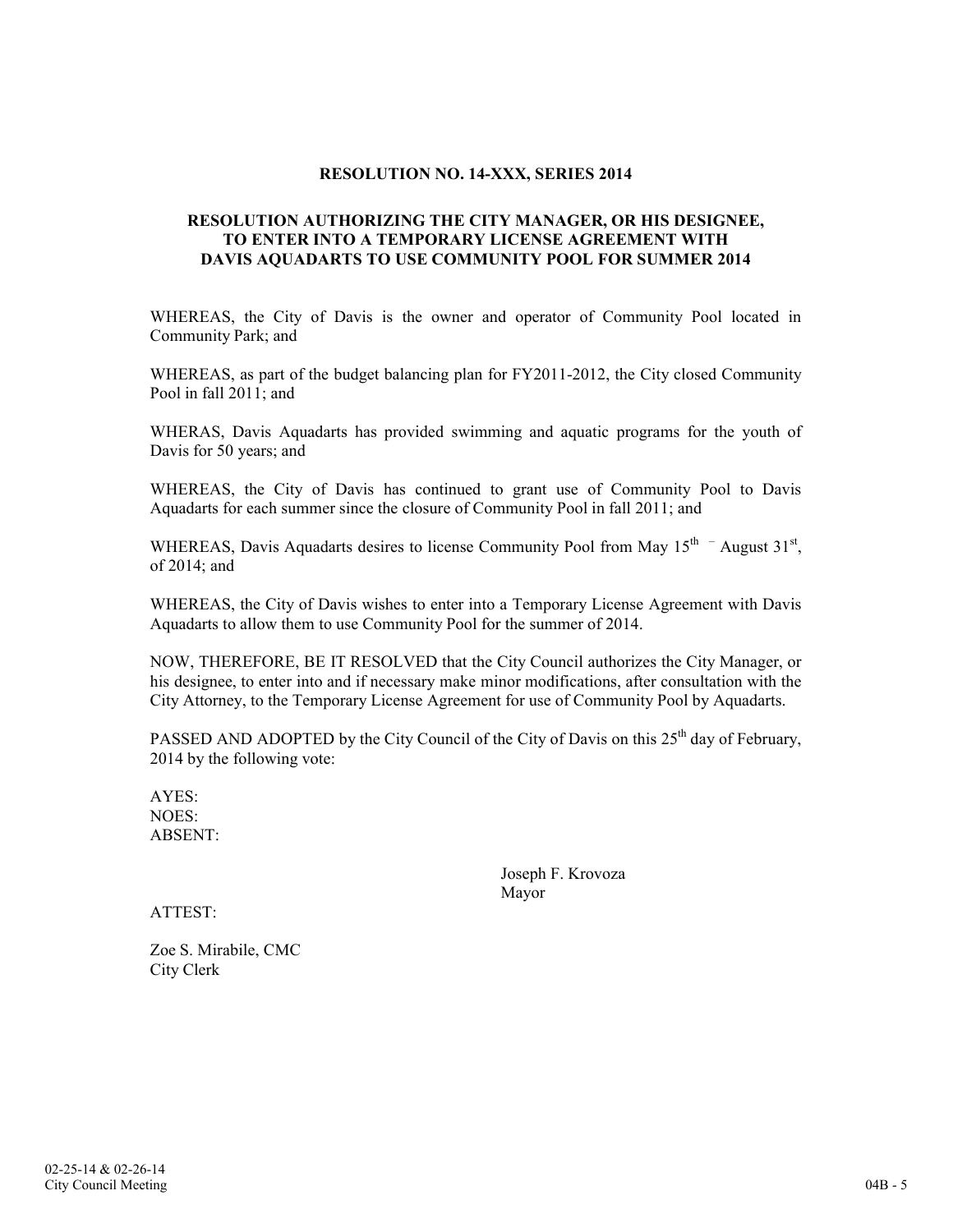## RESOLUTION NO. 14-XXX, SERIES 2014

## RESOLUTION AUTHORIZING THE CITY MANAGER, OR HIS DESIGNEE, TO ENTER INTO A TEMPORARY LICENSE AGREEMENT WITH DAVIS AQUADARTS TO USE COMMUNITY POOL FOR SUMMER 2014

WHEREAS, the City of Davis is the owner and operator of Community Pool located in Community Park; and

WHEREAS, as part of the budget balancing plan for FY2011-2012, the City closed Community Pool in fall 2011; and

WHERAS, Davis Aquadarts has provided swimming and aquatic programs for the youth of Davis for 50 years; and

WHEREAS, the City of Davis has continued to grant use of Community Pool to Davis Aquadarts for each summer since the closure of Community Pool in fall 2011; and

WHEREAS, Davis Aquadarts desires to license Community Pool from May  $15<sup>th</sup>$  - August  $31<sup>st</sup>$ , of 2014; and

WHEREAS, the City of Davis wishes to enter into a Temporary License Agreement with Davis Aquadarts to allow them to use Community Pool for the summer of 2014.

NOW, THEREFORE, BE IT RESOLVED that the City Council authorizes the City Manager, or his designee, to enter into and if necessary make minor modifications, after consultation with the City Attorney, to the Temporary License Agreement for use of Community Pool by Aquadarts.

PASSED AND ADOPTED by the City Council of the City of Davis on this 25<sup>th</sup> day of February, 2014 by the following vote:

AYES: NOES: ABSENT:

> Joseph F. Krovoza Mayor

ATTEST:

Zoe S. Mirabile, CMC City Clerk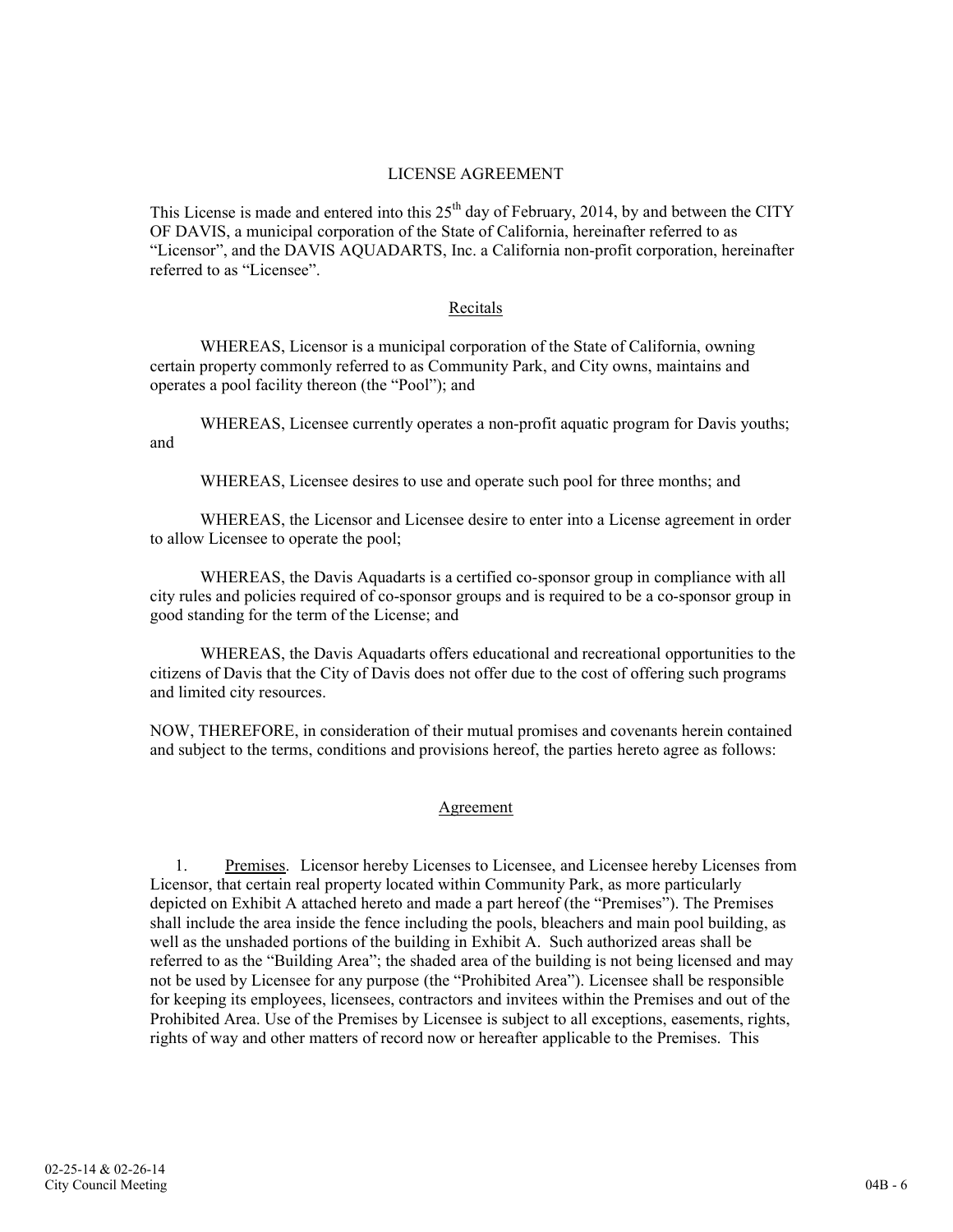## LICENSE AGREEMENT

This License is made and entered into this  $25<sup>th</sup>$  day of February, 2014, by and between the CITY OF DAVIS, a municipal corporation of the State of California, hereinafter referred to as "Licensor", and the DAVIS AQUADARTS, Inc. a California non-profit corporation, hereinafter referred to as "Licensee".

## Recitals

WHEREAS, Licensor is a municipal corporation of the State of California, owning certain property commonly referred to as Community Park, and City owns, maintains and operates a pool facility thereon (the "Pool"); and

WHEREAS, Licensee currently operates a non-profit aquatic program for Davis youths; and

WHEREAS, Licensee desires to use and operate such pool for three months; and

WHEREAS, the Licensor and Licensee desire to enter into a License agreement in order to allow Licensee to operate the pool;

WHEREAS, the Davis Aquadarts is a certified co-sponsor group in compliance with all city rules and policies required of co-sponsor groups and is required to be a co-sponsor group in good standing for the term of the License; and

WHEREAS, the Davis Aquadarts offers educational and recreational opportunities to the citizens of Davis that the City of Davis does not offer due to the cost of offering such programs and limited city resources.

NOW, THEREFORE, in consideration of their mutual promises and covenants herein contained and subject to the terms, conditions and provisions hereof, the parties hereto agree as follows:

# Agreement

1. Premises. Licensor hereby Licenses to Licensee, and Licensee hereby Licenses from Licensor, that certain real property located within Community Park, as more particularly depicted on Exhibit A attached hereto and made a part hereof (the "Premises"). The Premises shall include the area inside the fence including the pools, bleachers and main pool building, as well as the unshaded portions of the building in Exhibit A. Such authorized areas shall be referred to as the "Building Area"; the shaded area of the building is not being licensed and may not be used by Licensee for any purpose (the "Prohibited Area"). Licensee shall be responsible for keeping its employees, licensees, contractors and invitees within the Premises and out of the Prohibited Area. Use of the Premises by Licensee is subject to all exceptions, easements, rights, rights of way and other matters of record now or hereafter applicable to the Premises. This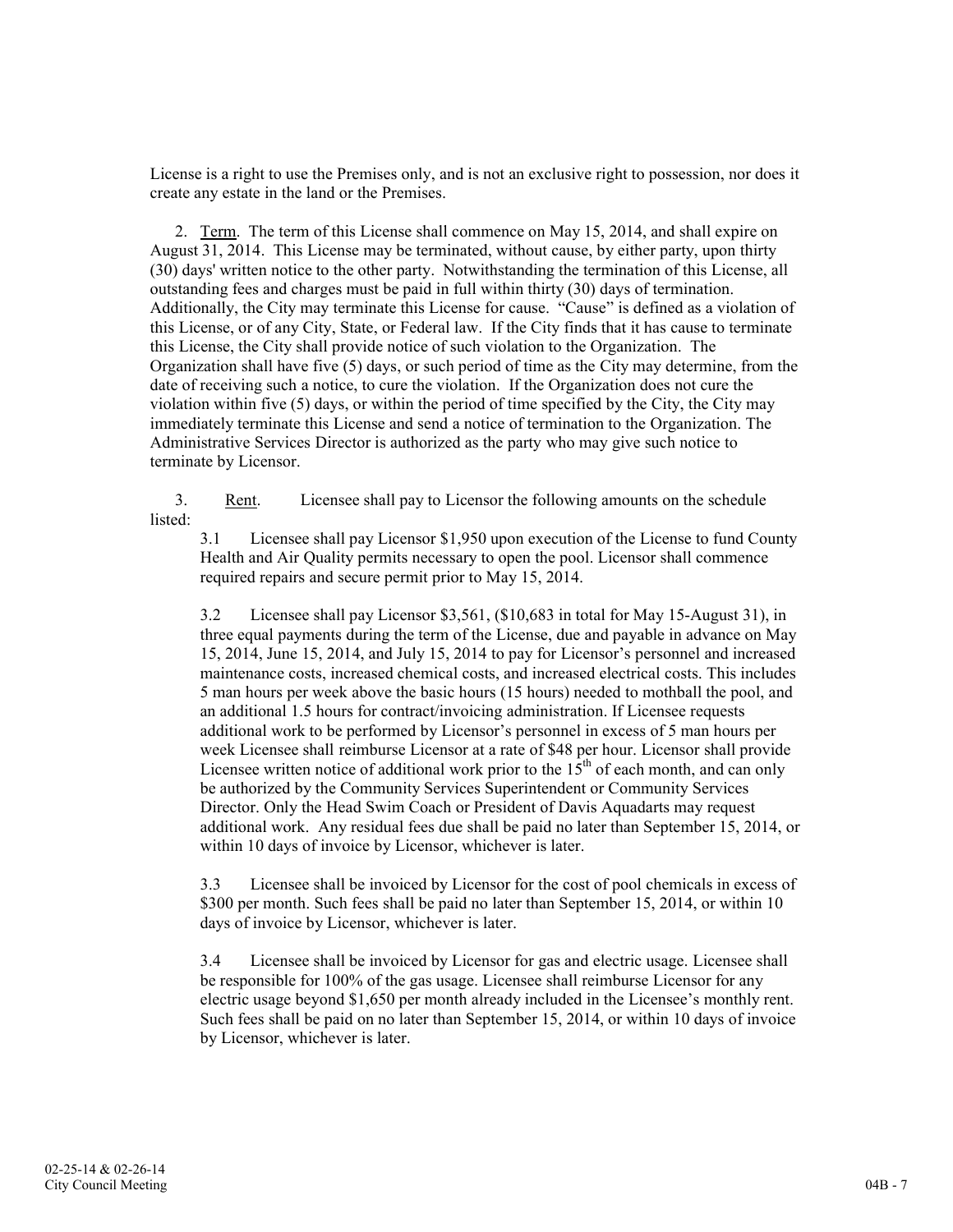License is a right to use the Premises only, and is not an exclusive right to possession, nor does it create any estate in the land or the Premises.

2. Term. The term of this License shall commence on May 15, 2014, and shall expire on August 31, 2014. This License may be terminated, without cause, by either party, upon thirty (30) days' written notice to the other party. Notwithstanding the termination of this License, all outstanding fees and charges must be paid in full within thirty (30) days of termination. Additionally, the City may terminate this License for cause. "Cause" is defined as a violation of this License, or of any City, State, or Federal law. If the City finds that it has cause to terminate this License, the City shall provide notice of such violation to the Organization. The Organization shall have five (5) days, or such period of time as the City may determine, from the date of receiving such a notice, to cure the violation. If the Organization does not cure the violation within five (5) days, or within the period of time specified by the City, the City may immediately terminate this License and send a notice of termination to the Organization. The Administrative Services Director is authorized as the party who may give such notice to terminate by Licensor.

3. Rent. Licensee shall pay to Licensor the following amounts on the schedule listed:

3.1 Licensee shall pay Licensor \$1,950 upon execution of the License to fund County Health and Air Quality permits necessary to open the pool. Licensor shall commence required repairs and secure permit prior to May 15, 2014.

3.2 Licensee shall pay Licensor \$3,561, (\$10,683 in total for May 15-August 31), in three equal payments during the term of the License, due and payable in advance on May 15, 2014, June 15, 2014, and July 15, 2014 to pay for Licensor's personnel and increased maintenance costs, increased chemical costs, and increased electrical costs. This includes 5 man hours per week above the basic hours (15 hours) needed to mothball the pool, and an additional 1.5 hours for contract/invoicing administration. If Licensee requests additional work to be performed by Licensor's personnel in excess of 5 man hours per week Licensee shall reimburse Licensor at a rate of \$48 per hour. Licensor shall provide Licensee written notice of additional work prior to the  $15<sup>th</sup>$  of each month, and can only be authorized by the Community Services Superintendent or Community Services Director. Only the Head Swim Coach or President of Davis Aquadarts may request additional work. Any residual fees due shall be paid no later than September 15, 2014, or within 10 days of invoice by Licensor, whichever is later.

3.3 Licensee shall be invoiced by Licensor for the cost of pool chemicals in excess of \$300 per month. Such fees shall be paid no later than September 15, 2014, or within 10 days of invoice by Licensor, whichever is later.

3.4 Licensee shall be invoiced by Licensor for gas and electric usage. Licensee shall be responsible for 100% of the gas usage. Licensee shall reimburse Licensor for any electric usage beyond \$1,650 per month already included in the Licensee's monthly rent. Such fees shall be paid on no later than September 15, 2014, or within 10 days of invoice by Licensor, whichever is later.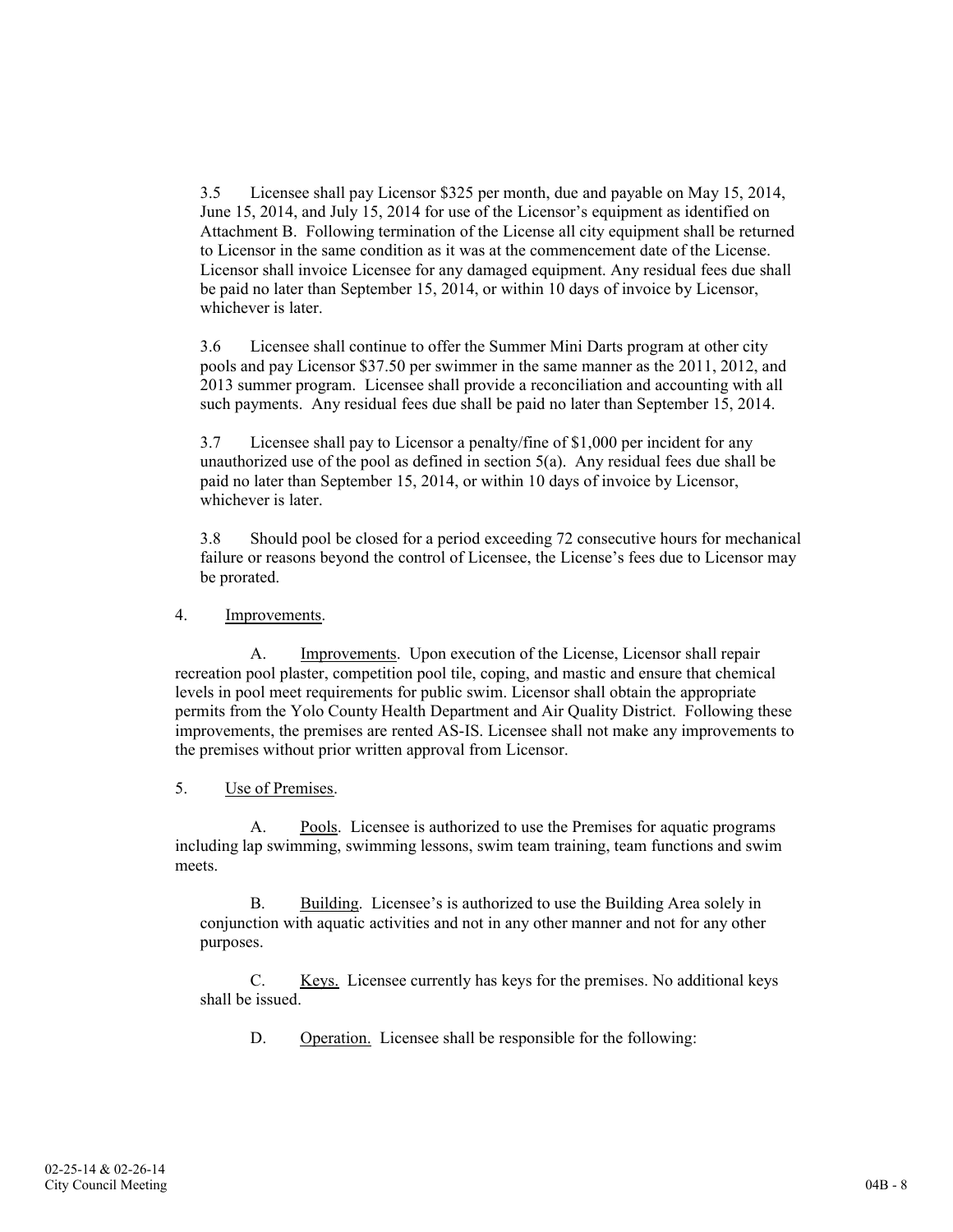3.5 Licensee shall pay Licensor \$325 per month, due and payable on May 15, 2014, June 15, 2014, and July 15, 2014 for use of the Licensor's equipment as identified on Attachment B. Following termination of the License all city equipment shall be returned to Licensor in the same condition as it was at the commencement date of the License. Licensor shall invoice Licensee for any damaged equipment. Any residual fees due shall be paid no later than September 15, 2014, or within 10 days of invoice by Licensor, whichever is later.

3.6 Licensee shall continue to offer the Summer Mini Darts program at other city pools and pay Licensor \$37.50 per swimmer in the same manner as the 2011, 2012, and 2013 summer program. Licensee shall provide a reconciliation and accounting with all such payments. Any residual fees due shall be paid no later than September 15, 2014.

3.7 Licensee shall pay to Licensor a penalty/fine of \$1,000 per incident for any unauthorized use of the pool as defined in section 5(a). Any residual fees due shall be paid no later than September 15, 2014, or within 10 days of invoice by Licensor, whichever is later.

3.8 Should pool be closed for a period exceeding 72 consecutive hours for mechanical failure or reasons beyond the control of Licensee, the License's fees due to Licensor may be prorated.

# 4. Improvements.

A. Improvements. Upon execution of the License, Licensor shall repair recreation pool plaster, competition pool tile, coping, and mastic and ensure that chemical levels in pool meet requirements for public swim. Licensor shall obtain the appropriate permits from the Yolo County Health Department and Air Quality District. Following these improvements, the premises are rented AS-IS. Licensee shall not make any improvements to the premises without prior written approval from Licensor.

# 5. Use of Premises.

A. Pools. Licensee is authorized to use the Premises for aquatic programs including lap swimming, swimming lessons, swim team training, team functions and swim meets.

B. Building. Licensee's is authorized to use the Building Area solely in conjunction with aquatic activities and not in any other manner and not for any other purposes.

C. Keys. Licensee currently has keys for the premises. No additional keys shall be issued.

D. Operation. Licensee shall be responsible for the following: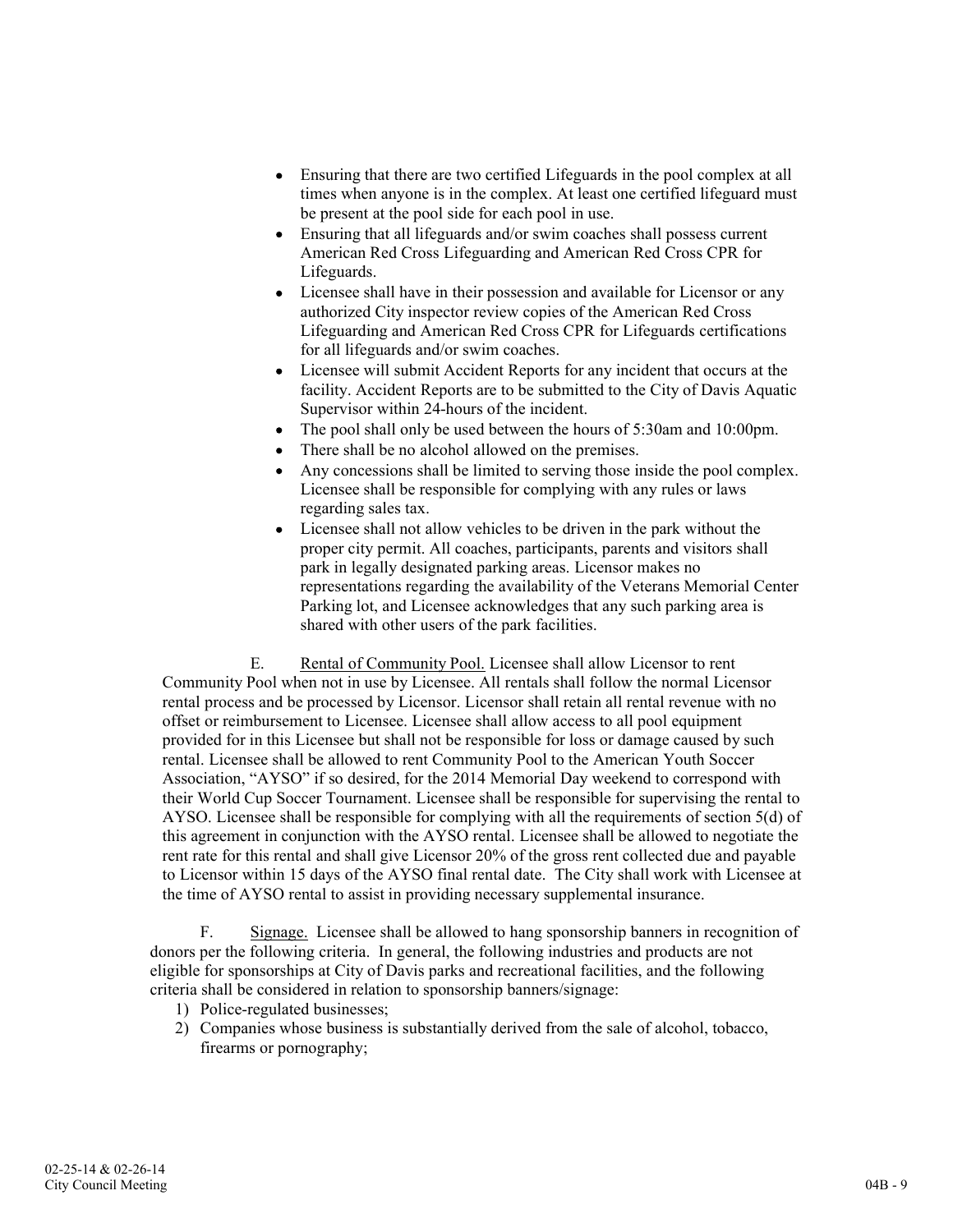- $\bullet$ Ensuring that there are two certified Lifeguards in the pool complex at all times when anyone is in the complex. At least one certified lifeguard must be present at the pool side for each pool in use.
- Ensuring that all lifeguards and/or swim coaches shall possess current  $\bullet$ American Red Cross Lifeguarding and American Red Cross CPR for Lifeguards.
- Licensee shall have in their possession and available for Licensor or any  $\bullet$ authorized City inspector review copies of the American Red Cross Lifeguarding and American Red Cross CPR for Lifeguards certifications for all lifeguards and/or swim coaches.
- Licensee will submit Accident Reports for any incident that occurs at the  $\bullet$ facility. Accident Reports are to be submitted to the City of Davis Aquatic Supervisor within 24-hours of the incident.
- The pool shall only be used between the hours of 5:30am and 10:00pm.  $\bullet$
- There shall be no alcohol allowed on the premises.  $\bullet$
- $\bullet$ Any concessions shall be limited to serving those inside the pool complex. Licensee shall be responsible for complying with any rules or laws regarding sales tax.
- $\bullet$ Licensee shall not allow vehicles to be driven in the park without the proper city permit. All coaches, participants, parents and visitors shall park in legally designated parking areas. Licensor makes no representations regarding the availability of the Veterans Memorial Center Parking lot, and Licensee acknowledges that any such parking area is shared with other users of the park facilities.

E. Rental of Community Pool. Licensee shall allow Licensor to rent Community Pool when not in use by Licensee. All rentals shall follow the normal Licensor rental process and be processed by Licensor. Licensor shall retain all rental revenue with no offset or reimbursement to Licensee. Licensee shall allow access to all pool equipment provided for in this Licensee but shall not be responsible for loss or damage caused by such rental. Licensee shall be allowed to rent Community Pool to the American Youth Soccer Association, "AYSO" if so desired, for the 2014 Memorial Day weekend to correspond with their World Cup Soccer Tournament. Licensee shall be responsible for supervising the rental to AYSO. Licensee shall be responsible for complying with all the requirements of section 5(d) of this agreement in conjunction with the AYSO rental. Licensee shall be allowed to negotiate the rent rate for this rental and shall give Licensor 20% of the gross rent collected due and payable to Licensor within 15 days of the AYSO final rental date. The City shall work with Licensee at the time of AYSO rental to assist in providing necessary supplemental insurance.

F. Signage. Licensee shall be allowed to hang sponsorship banners in recognition of donors per the following criteria. In general, the following industries and products are not eligible for sponsorships at City of Davis parks and recreational facilities, and the following criteria shall be considered in relation to sponsorship banners/signage:

- 1) Police-regulated businesses;
- 2) Companies whose business is substantially derived from the sale of alcohol, tobacco, firearms or pornography;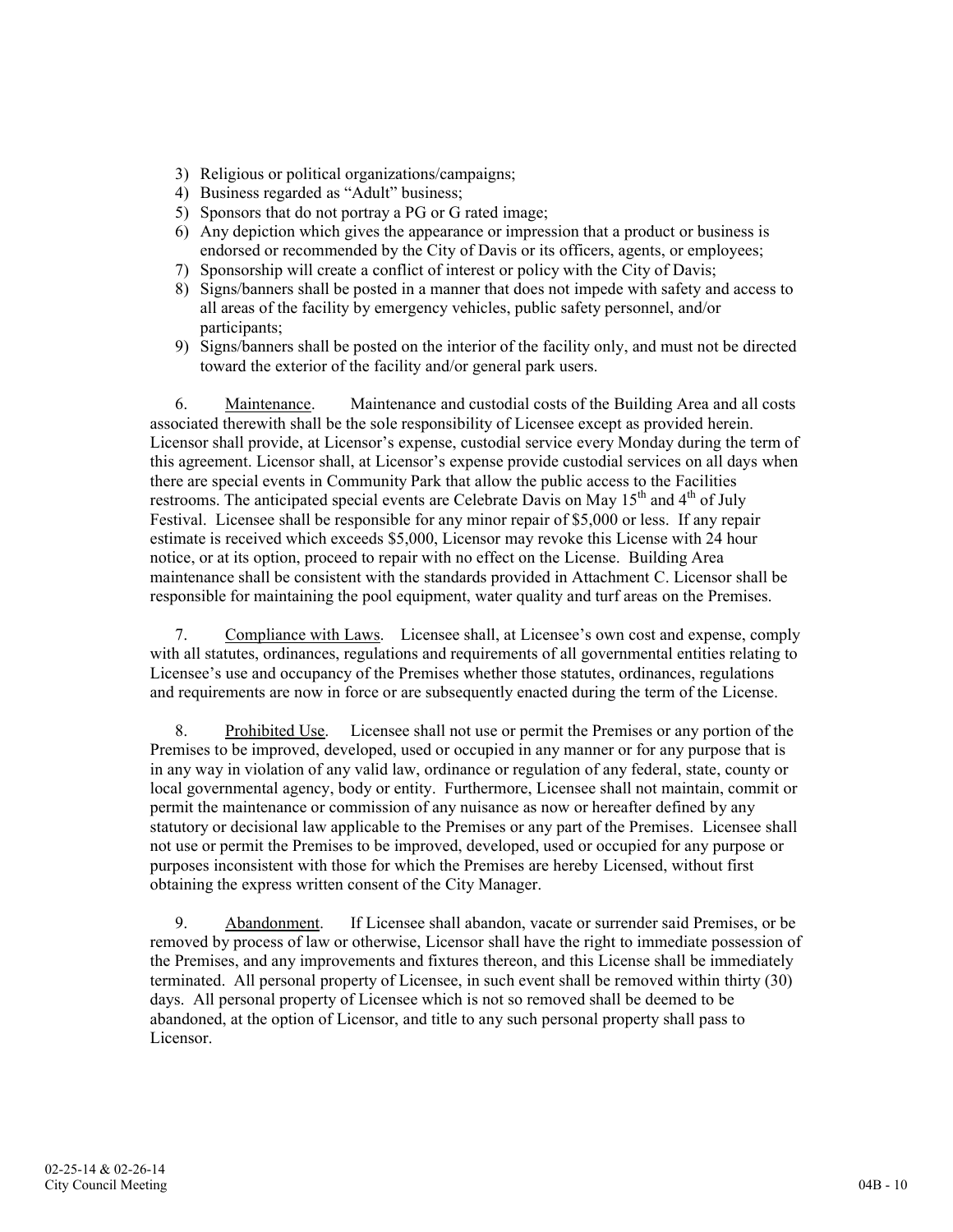- 3) Religious or political organizations/campaigns;
- 4) Business regarded as "Adult" business;
- 5) Sponsors that do not portray a PG or G rated image;
- 6) Any depiction which gives the appearance or impression that a product or business is endorsed or recommended by the City of Davis or its officers, agents, or employees;
- 7) Sponsorship will create a conflict of interest or policy with the City of Davis;
- 8) Signs/banners shall be posted in a manner that does not impede with safety and access to all areas of the facility by emergency vehicles, public safety personnel, and/or participants;
- 9) Signs/banners shall be posted on the interior of the facility only, and must not be directed toward the exterior of the facility and/or general park users.

6. Maintenance. Maintenance and custodial costs of the Building Area and all costs associated therewith shall be the sole responsibility of Licensee except as provided herein. Licensor shall provide, at Licensor's expense, custodial service every Monday during the term of this agreement. Licensor shall, at Licensor's expense provide custodial services on all days when there are special events in Community Park that allow the public access to the Facilities restrooms. The anticipated special events are Celebrate Davis on May  $15<sup>th</sup>$  and  $4<sup>th</sup>$  of July Festival. Licensee shall be responsible for any minor repair of \$5,000 or less. If any repair estimate is received which exceeds \$5,000, Licensor may revoke this License with 24 hour notice, or at its option, proceed to repair with no effect on the License. Building Area maintenance shall be consistent with the standards provided in Attachment C. Licensor shall be responsible for maintaining the pool equipment, water quality and turf areas on the Premises.

7. Compliance with Laws. Licensee shall, at Licensee's own cost and expense, comply with all statutes, ordinances, regulations and requirements of all governmental entities relating to Licensee's use and occupancy of the Premises whether those statutes, ordinances, regulations and requirements are now in force or are subsequently enacted during the term of the License.

8. Prohibited Use. Licensee shall not use or permit the Premises or any portion of the Premises to be improved, developed, used or occupied in any manner or for any purpose that is in any way in violation of any valid law, ordinance or regulation of any federal, state, county or local governmental agency, body or entity. Furthermore, Licensee shall not maintain, commit or permit the maintenance or commission of any nuisance as now or hereafter defined by any statutory or decisional law applicable to the Premises or any part of the Premises. Licensee shall not use or permit the Premises to be improved, developed, used or occupied for any purpose or purposes inconsistent with those for which the Premises are hereby Licensed, without first obtaining the express written consent of the City Manager.

9. Abandonment. If Licensee shall abandon, vacate or surrender said Premises, or be removed by process of law or otherwise, Licensor shall have the right to immediate possession of the Premises, and any improvements and fixtures thereon, and this License shall be immediately terminated. All personal property of Licensee, in such event shall be removed within thirty (30) days. All personal property of Licensee which is not so removed shall be deemed to be abandoned, at the option of Licensor, and title to any such personal property shall pass to Licensor.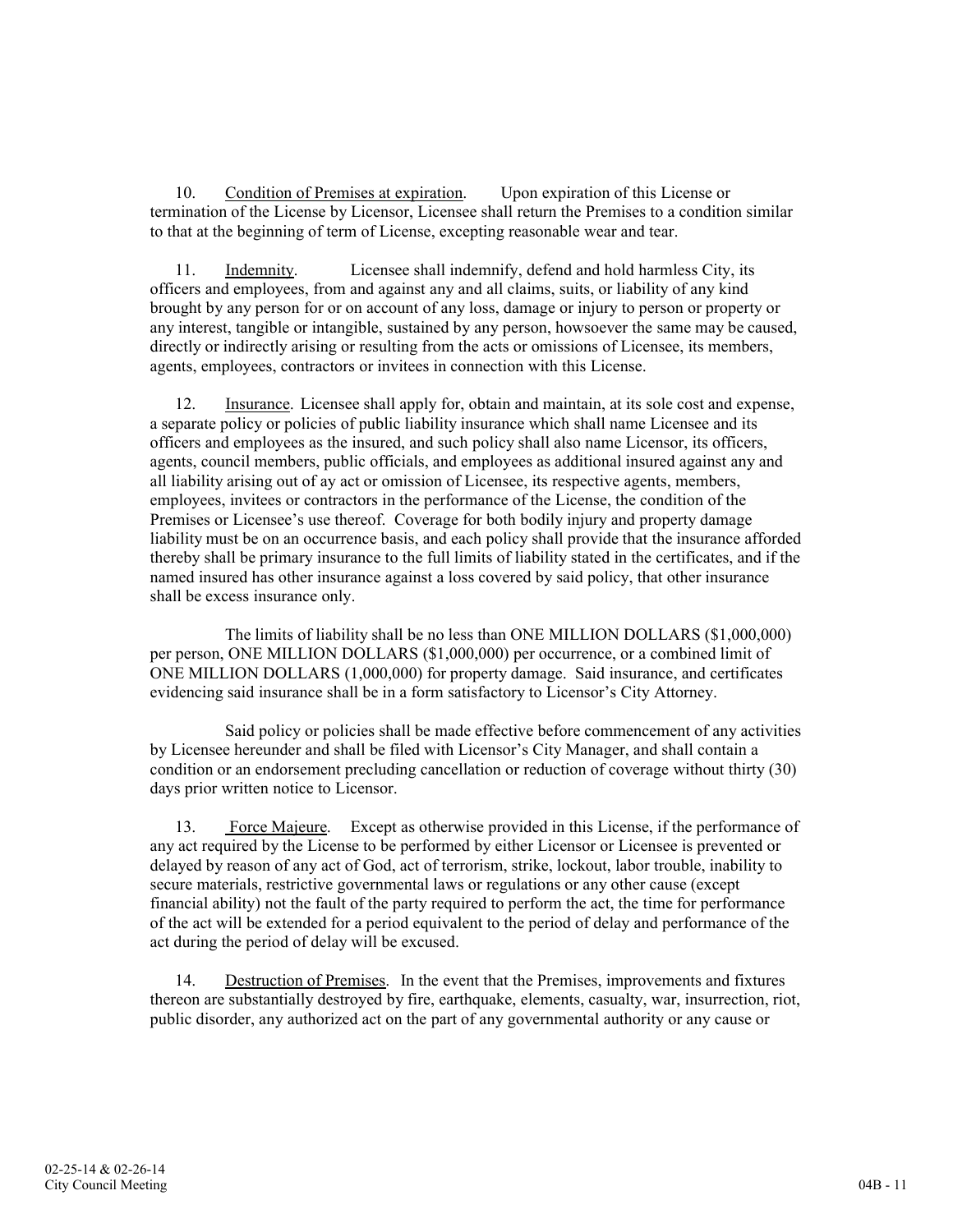10. Condition of Premises at expiration. Upon expiration of this License or termination of the License by Licensor, Licensee shall return the Premises to a condition similar to that at the beginning of term of License, excepting reasonable wear and tear.

11. Indemnity. Licensee shall indemnify, defend and hold harmless City, its officers and employees, from and against any and all claims, suits, or liability of any kind brought by any person for or on account of any loss, damage or injury to person or property or any interest, tangible or intangible, sustained by any person, howsoever the same may be caused, directly or indirectly arising or resulting from the acts or omissions of Licensee, its members, agents, employees, contractors or invitees in connection with this License.

12. Insurance. Licensee shall apply for, obtain and maintain, at its sole cost and expense, a separate policy or policies of public liability insurance which shall name Licensee and its officers and employees as the insured, and such policy shall also name Licensor, its officers, agents, council members, public officials, and employees as additional insured against any and all liability arising out of ay act or omission of Licensee, its respective agents, members, employees, invitees or contractors in the performance of the License, the condition of the Premises or Licensee's use thereof. Coverage for both bodily injury and property damage liability must be on an occurrence basis, and each policy shall provide that the insurance afforded thereby shall be primary insurance to the full limits of liability stated in the certificates, and if the named insured has other insurance against a loss covered by said policy, that other insurance shall be excess insurance only.

The limits of liability shall be no less than ONE MILLION DOLLARS (\$1,000,000) per person, ONE MILLION DOLLARS (\$1,000,000) per occurrence, or a combined limit of ONE MILLION DOLLARS (1,000,000) for property damage. Said insurance, and certificates evidencing said insurance shall be in a form satisfactory to Licensor's City Attorney.

Said policy or policies shall be made effective before commencement of any activities by Licensee hereunder and shall be filed with Licensor's City Manager, and shall contain a condition or an endorsement precluding cancellation or reduction of coverage without thirty (30) days prior written notice to Licensor.

13. Force Majeure. Except as otherwise provided in this License, if the performance of any act required by the License to be performed by either Licensor or Licensee is prevented or delayed by reason of any act of God, act of terrorism, strike, lockout, labor trouble, inability to secure materials, restrictive governmental laws or regulations or any other cause (except financial ability) not the fault of the party required to perform the act, the time for performance of the act will be extended for a period equivalent to the period of delay and performance of the act during the period of delay will be excused.

14. Destruction of Premises. In the event that the Premises, improvements and fixtures thereon are substantially destroyed by fire, earthquake, elements, casualty, war, insurrection, riot, public disorder, any authorized act on the part of any governmental authority or any cause or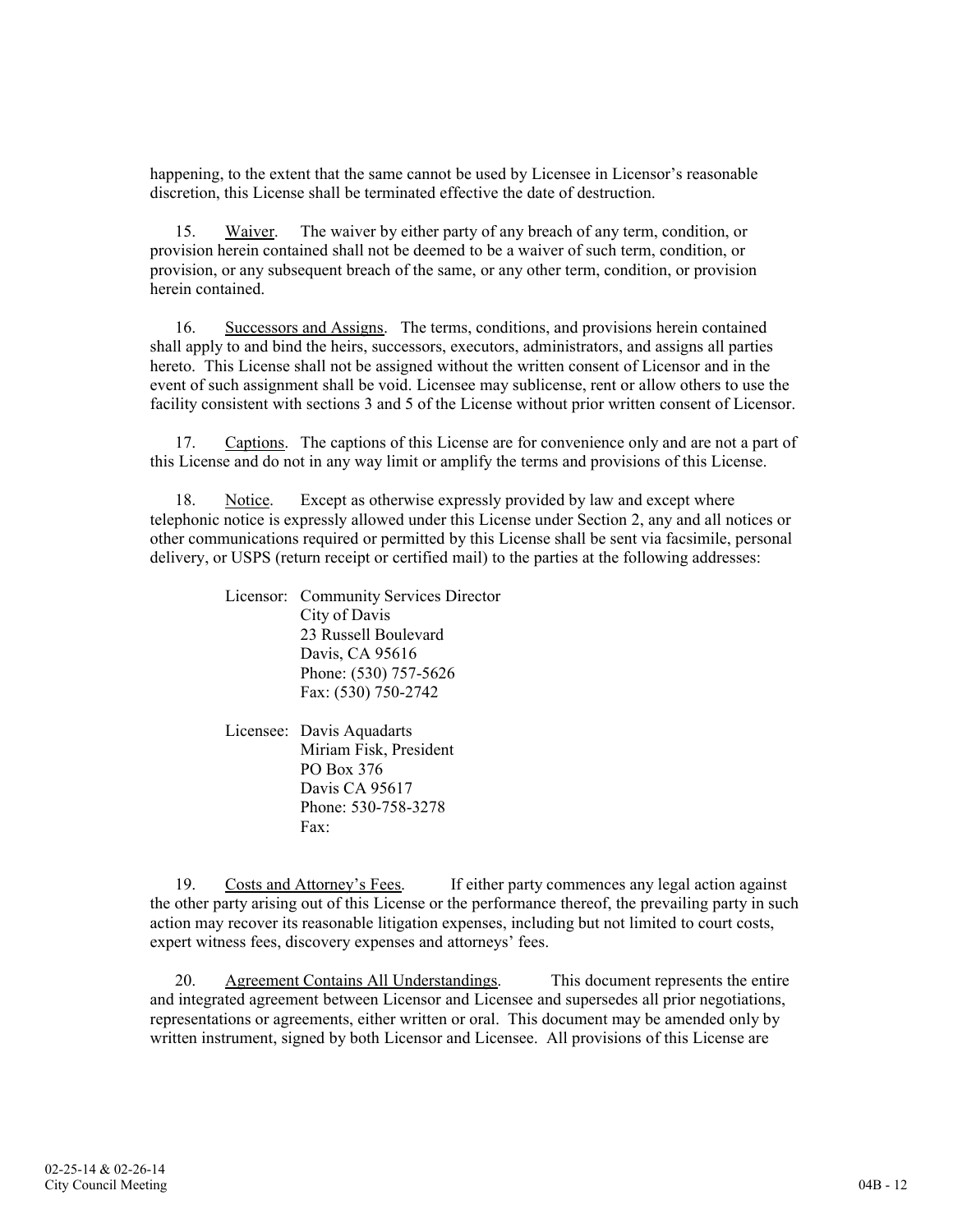happening, to the extent that the same cannot be used by Licensee in Licensor's reasonable discretion, this License shall be terminated effective the date of destruction.

15. Waiver. The waiver by either party of any breach of any term, condition, or provision herein contained shall not be deemed to be a waiver of such term, condition, or provision, or any subsequent breach of the same, or any other term, condition, or provision herein contained.

16. Successors and Assigns. The terms, conditions, and provisions herein contained shall apply to and bind the heirs, successors, executors, administrators, and assigns all parties hereto. This License shall not be assigned without the written consent of Licensor and in the event of such assignment shall be void. Licensee may sublicense, rent or allow others to use the facility consistent with sections 3 and 5 of the License without prior written consent of Licensor.

17. Captions. The captions of this License are for convenience only and are not a part of this License and do not in any way limit or amplify the terms and provisions of this License.

18. Notice. Except as otherwise expressly provided by law and except where telephonic notice is expressly allowed under this License under Section 2, any and all notices or other communications required or permitted by this License shall be sent via facsimile, personal delivery, or USPS (return receipt or certified mail) to the parties at the following addresses:

> Licensor: Community Services Director City of Davis 23 Russell Boulevard Davis, CA 95616 Phone: (530) 757-5626 Fax: (530) 750-2742

Licensee: Davis Aquadarts Miriam Fisk, President PO Box 376 Davis CA 95617 Phone: 530-758-3278 Fax:

19. Costs and Attorney's Fees. If either party commences any legal action against the other party arising out of this License or the performance thereof, the prevailing party in such action may recover its reasonable litigation expenses, including but not limited to court costs, expert witness fees, discovery expenses and attorneys' fees.

20. Agreement Contains All Understandings. This document represents the entire and integrated agreement between Licensor and Licensee and supersedes all prior negotiations, representations or agreements, either written or oral. This document may be amended only by written instrument, signed by both Licensor and Licensee. All provisions of this License are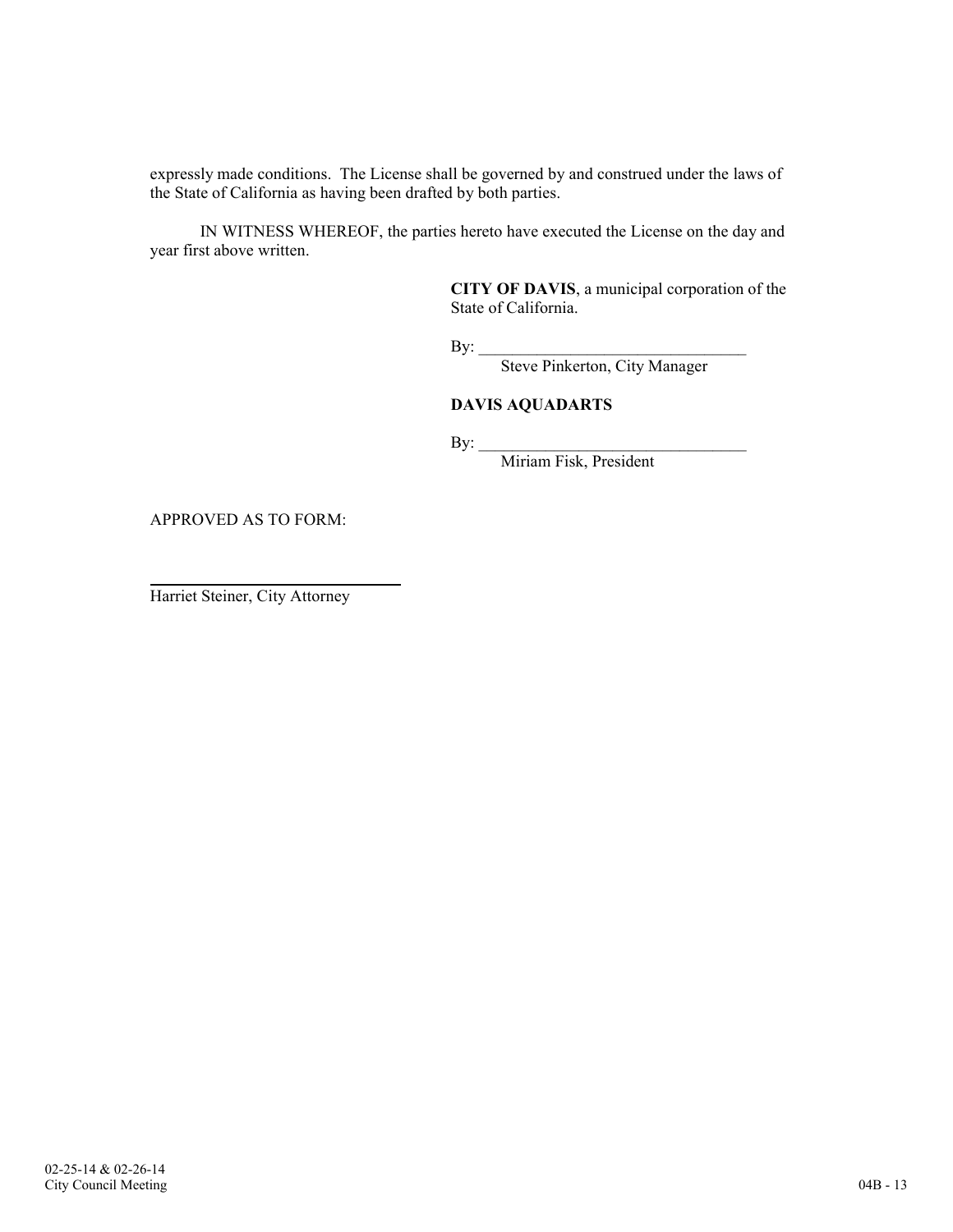expressly made conditions. The License shall be governed by and construed under the laws of the State of California as having been drafted by both parties.

IN WITNESS WHEREOF, the parties hereto have executed the License on the day and year first above written.

> CITY OF DAVIS, a municipal corporation of the State of California.

 $\mathbf{By:}$ 

Steve Pinkerton, City Manager

# DAVIS AQUADARTS

 $\mathbf{By:}$ 

Miriam Fisk, President

APPROVED AS TO FORM:

Harriet Steiner, City Attorney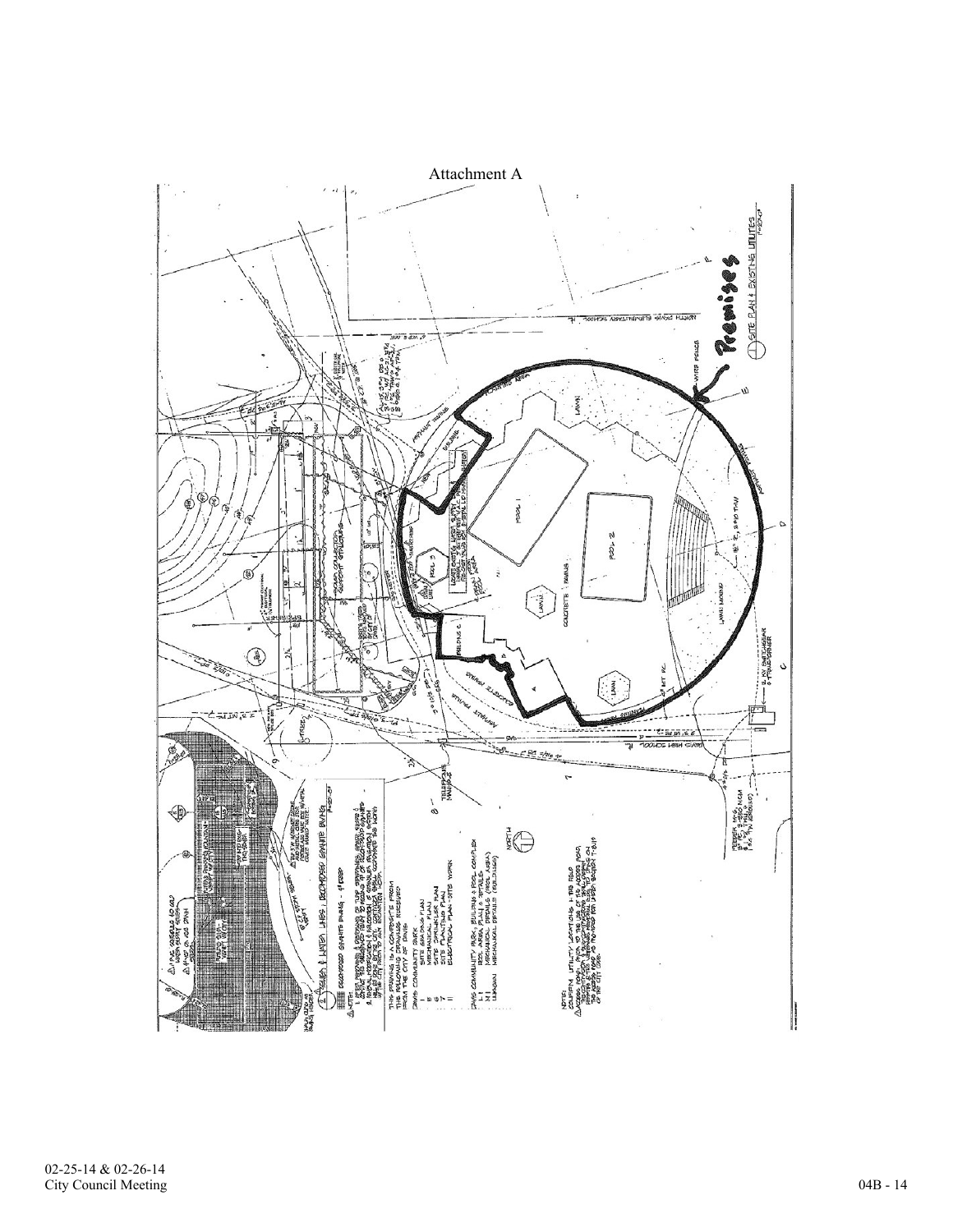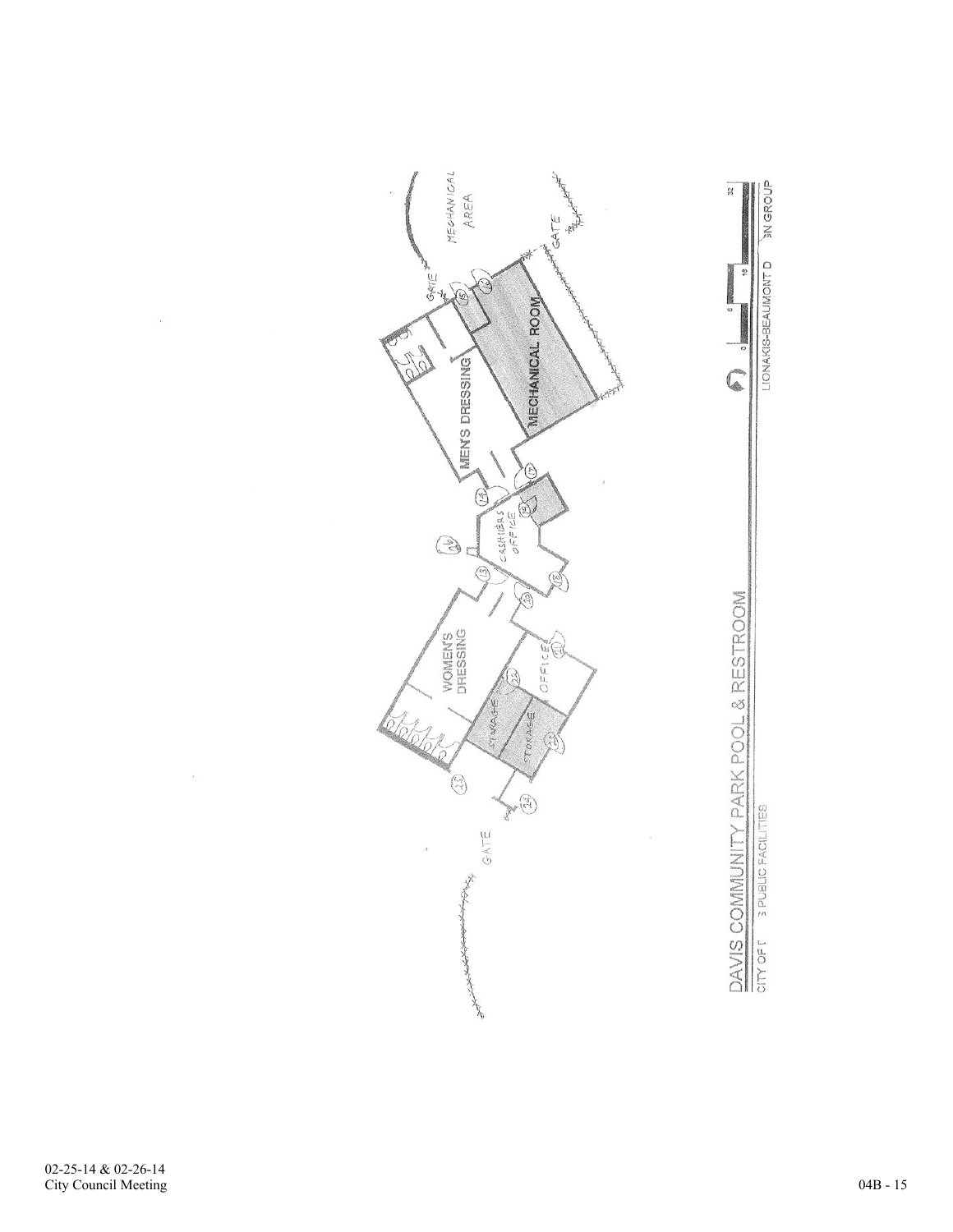

LIONAKIS-BEAUMONT D  $\frac{40}{7}$  $\frac{1}{\alpha}$  $\sqrt{2}$ DAVIS COMMUNITY PARK POOL & RESTROOM 3 PUBLIC FACILITIES

**SN GROUP** 

 $\hat{\boldsymbol{\epsilon}}$ 

 $\omega$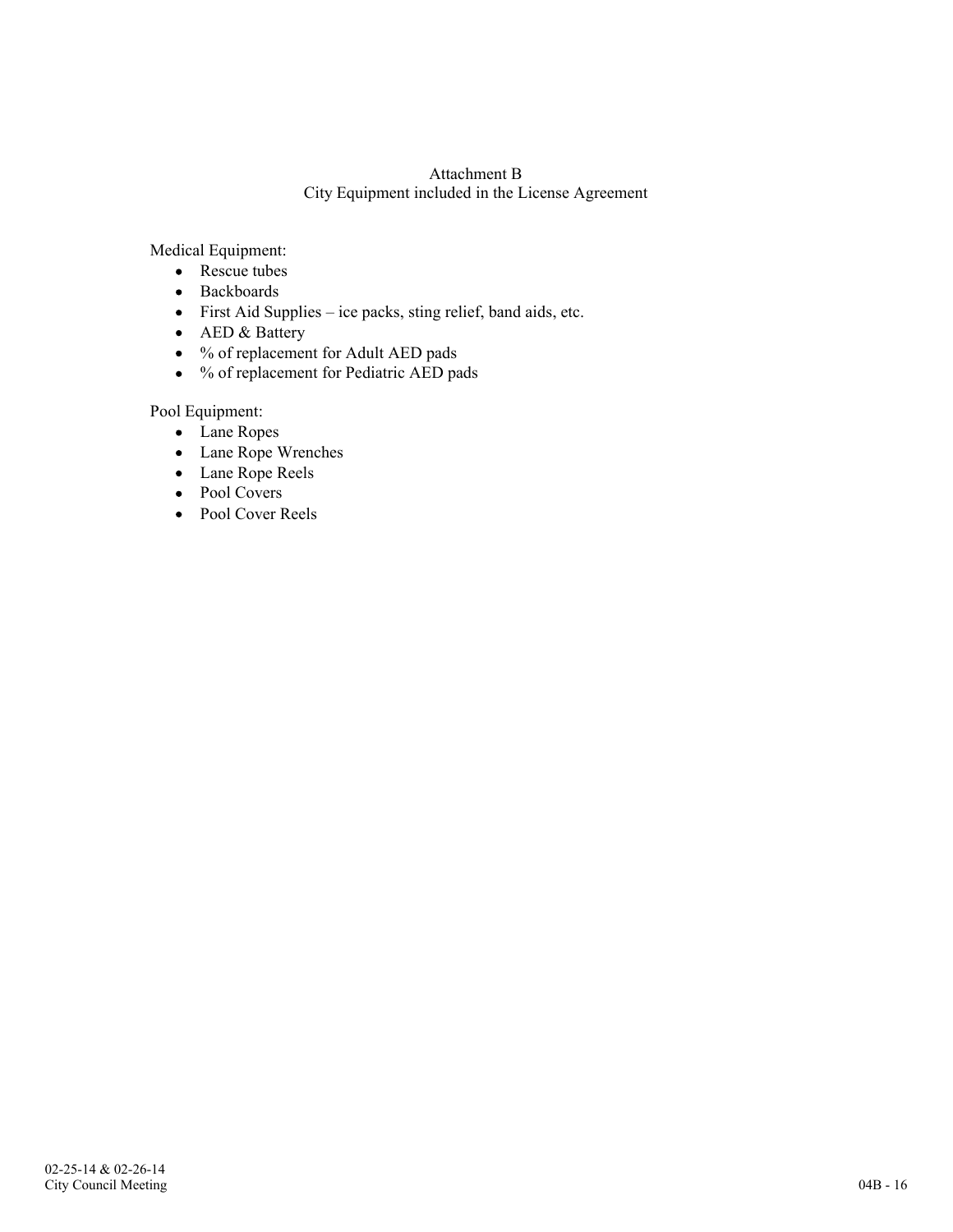# Attachment B City Equipment included in the License Agreement

Medical Equipment:

- Rescue tubes
- Backboards
- First Aid Supplies ice packs, sting relief, band aids, etc.
- AED & Battery
- % of replacement for Adult AED pads
- % of replacement for Pediatric AED pads

Pool Equipment:

- Lane Ropes
- Lane Rope Wrenches
- Lane Rope Reels
- Pool Covers
- Pool Cover Reels